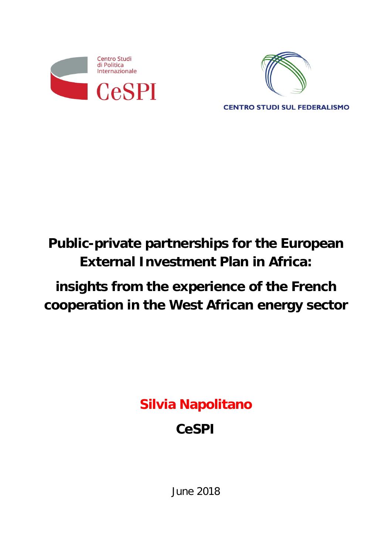



**CENTRO STUDI SUL FEDERALISMO** 

# **Public-private partnerships for the European External Investment Plan in Africa:**

# **insights from the experience of the French cooperation in the West African energy sector**

**Silvia Napolitano**

# **CeSPI**

June 2018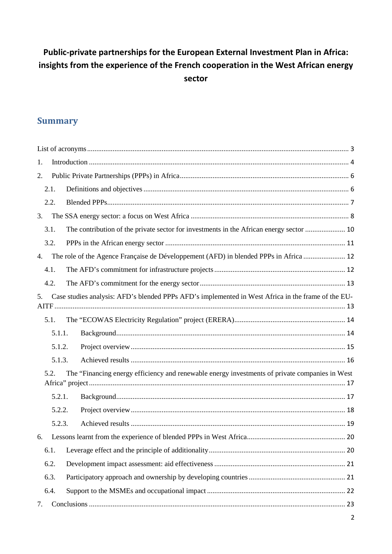# **Public-private partnerships for the European External Investment Plan in Africa: insights from the experience of the French cooperation in the West African energy sector**

# **Summary**

| 1.                                                                                                       |        |                                                                                                |  |  |  |  |
|----------------------------------------------------------------------------------------------------------|--------|------------------------------------------------------------------------------------------------|--|--|--|--|
| 2.                                                                                                       |        |                                                                                                |  |  |  |  |
|                                                                                                          | 2.1.   |                                                                                                |  |  |  |  |
|                                                                                                          | 2.2.   |                                                                                                |  |  |  |  |
| 3.                                                                                                       |        |                                                                                                |  |  |  |  |
|                                                                                                          | 3.1.   | The contribution of the private sector for investments in the African energy sector  10        |  |  |  |  |
|                                                                                                          | 3.2.   |                                                                                                |  |  |  |  |
| 4.                                                                                                       |        | The role of the Agence Française de Développement (AFD) in blended PPPs in Africa  12          |  |  |  |  |
|                                                                                                          | 4.1.   |                                                                                                |  |  |  |  |
|                                                                                                          | 4.2.   |                                                                                                |  |  |  |  |
| Case studies analysis: AFD's blended PPPs AFD's implemented in West Africa in the frame of the EU-<br>5. |        |                                                                                                |  |  |  |  |
|                                                                                                          |        |                                                                                                |  |  |  |  |
|                                                                                                          | 5.1.   |                                                                                                |  |  |  |  |
|                                                                                                          | 5.1.1. |                                                                                                |  |  |  |  |
|                                                                                                          | 5.1.2. |                                                                                                |  |  |  |  |
|                                                                                                          | 5.1.3. |                                                                                                |  |  |  |  |
|                                                                                                          | 5.2.   | The "Financing energy efficiency and renewable energy investments of private companies in West |  |  |  |  |
|                                                                                                          | 5.2.1. |                                                                                                |  |  |  |  |
|                                                                                                          | 5.2.2. |                                                                                                |  |  |  |  |
|                                                                                                          | 5.2.3. |                                                                                                |  |  |  |  |
| 6.                                                                                                       |        |                                                                                                |  |  |  |  |
|                                                                                                          | 6.1.   |                                                                                                |  |  |  |  |
|                                                                                                          | 6.2.   |                                                                                                |  |  |  |  |
|                                                                                                          | 6.3.   |                                                                                                |  |  |  |  |
|                                                                                                          | 6.4.   |                                                                                                |  |  |  |  |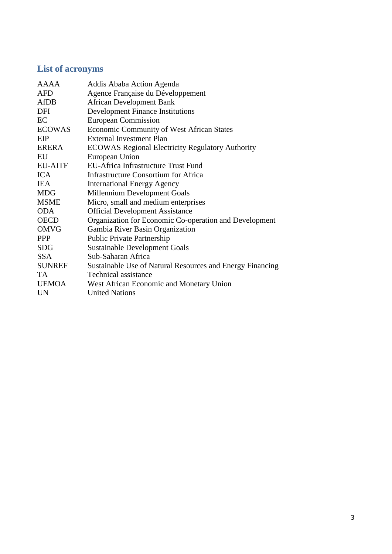# <span id="page-2-0"></span>**List of acronyms**

| <b>AAAA</b>    | Addis Ababa Action Agenda                                 |
|----------------|-----------------------------------------------------------|
| <b>AFD</b>     | Agence Française du Développement                         |
| AfDB           | <b>African Development Bank</b>                           |
| DFI            | <b>Development Finance Institutions</b>                   |
| EC             | <b>European Commission</b>                                |
| <b>ECOWAS</b>  | <b>Economic Community of West African States</b>          |
| EIP            | External Investment Plan                                  |
| ERERA          | <b>ECOWAS Regional Electricity Regulatory Authority</b>   |
| EU             | European Union                                            |
| <b>EU-AITF</b> | EU-Africa Infrastructure Trust Fund                       |
| <b>ICA</b>     | <b>Infrastructure Consortium for Africa</b>               |
| <b>IEA</b>     | <b>International Energy Agency</b>                        |
| <b>MDG</b>     | Millennium Development Goals                              |
| <b>MSME</b>    | Micro, small and medium enterprises                       |
| <b>ODA</b>     | <b>Official Development Assistance</b>                    |
| <b>OECD</b>    | Organization for Economic Co-operation and Development    |
| <b>OMVG</b>    | Gambia River Basin Organization                           |
| <b>PPP</b>     | <b>Public Private Partnership</b>                         |
| <b>SDG</b>     | <b>Sustainable Development Goals</b>                      |
| <b>SSA</b>     | Sub-Saharan Africa                                        |
| <b>SUNREF</b>  | Sustainable Use of Natural Resources and Energy Financing |
| TA.            | <b>Technical assistance</b>                               |
| <b>UEMOA</b>   | West African Economic and Monetary Union                  |
| <b>UN</b>      | <b>United Nations</b>                                     |
|                |                                                           |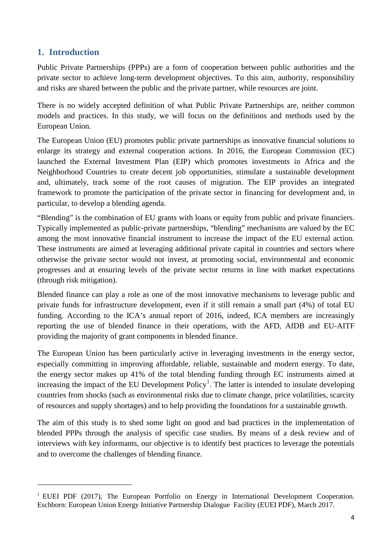# <span id="page-3-0"></span>**1. Introduction**

<u>.</u>

Public Private Partnerships (PPPs) are a form of cooperation between public authorities and the private sector to achieve long-term development objectives. To this aim, authority, responsibility and risks are shared between the public and the private partner, while resources are joint.

There is no widely accepted definition of what Public Private Partnerships are, neither common models and practices. In this study, we will focus on the definitions and methods used by the European Union.

The European Union (EU) promotes public private partnerships as innovative financial solutions to enlarge its strategy and external cooperation actions. In 2016, the European Commission (EC) launched the External Investment Plan (EIP) which promotes investments in Africa and the Neighborhood Countries to create decent job opportunities, stimulate a sustainable development and, ultimately, track some of the root causes of migration. The EIP provides an integrated framework to promote the participation of the private sector in financing for development and, in particular, to develop a blending agenda.

"Blending" is the combination of EU grants with loans or equity from public and private financiers. Typically implemented as public-private partnerships, "blending" mechanisms are valued by the EC among the most innovative financial instrument to increase the impact of the EU external action. These instruments are aimed at leveraging additional private capital in countries and sectors where otherwise the private sector would not invest, at promoting social, environmental and economic progresses and at ensuring levels of the private sector returns in line with market expectations (through risk mitigation).

Blended finance can play a role as one of the most innovative mechanisms to leverage public and private funds for infrastructure development, even if it still remain a small part (4%) of total EU funding. According to the ICA's annual report of 2016, indeed, ICA members are increasingly reporting the use of blended finance in their operations, with the AFD, AfDB and EU-AITF providing the majority of grant components in blended finance.

The European Union has been particularly active in leveraging investments in the energy sector, especially committing in improving affordable, reliable, sustainable and modern energy. To date, the energy sector makes up 41% of the total blending funding through EC instruments aimed at increasing the impact of the EU Development  $Policy<sup>1</sup>$  $Policy<sup>1</sup>$  $Policy<sup>1</sup>$ . The latter is intended to insulate developing countries from shocks (such as environmental risks due to climate change, price volatilities, scarcity of resources and supply shortages) and to help providing the foundations for a sustainable growth.

The aim of this study is to shed some light on good and bad practices in the implementation of blended PPPs through the analysis of specific case studies. By means of a desk review and of interviews with key informants, our objective is to identify best practices to leverage the potentials and to overcome the challenges of blending finance.

<span id="page-3-1"></span> $1$  EUEI PDF (2017). The European Portfolio on Energy in International Development Cooperation. Eschborn: European Union Energy Initiative Partnership Dialogue Facility (EUEI PDF), March 2017.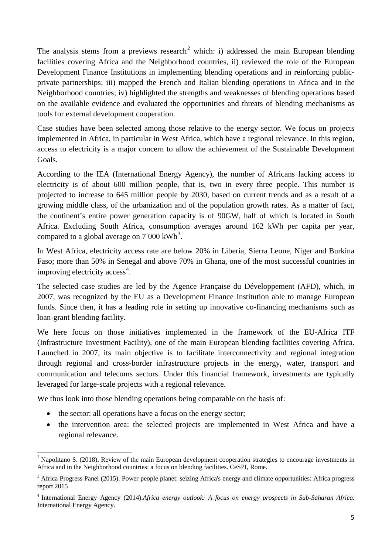The analysis stems from a previews research<sup>[2](#page-4-0)</sup> which: i) addressed the main European blending facilities covering Africa and the Neighborhood countries, ii) reviewed the role of the European Development Finance Institutions in implementing blending operations and in reinforcing publicprivate partnerships; iii) mapped the French and Italian blending operations in Africa and in the Neighborhood countries; iv) highlighted the strengths and weaknesses of blending operations based on the available evidence and evaluated the opportunities and threats of blending mechanisms as tools for external development cooperation.

Case studies have been selected among those relative to the energy sector. We focus on projects implemented in Africa, in particular in West Africa, which have a regional relevance. In this region, access to electricity is a major concern to allow the achievement of the Sustainable Development Goals.

According to the IEA (International Energy Agency), the number of Africans lacking access to electricity is of about 600 million people, that is, two in every three people. This number is projected to increase to 645 million people by 2030, based on current trends and as a result of a growing middle class, of the urbanization and of the population growth rates. As a matter of fact, the continent's entire power generation capacity is of 90GW, half of which is located in South Africa. Excluding South Africa, consumption averages around 162 kWh per capita per year, compared to a global average on  $7'000 \text{ kWh}^3$  $7'000 \text{ kWh}^3$ .

In West Africa, electricity access rate are below 20% in Liberia, Sierra Leone, Niger and Burkina Faso; more than 50% in Senegal and above 70% in Ghana, one of the most successful countries in improving electricity access<sup>[4](#page-4-2)</sup>.

The selected case studies are led by the Agence Française du Développement (AFD), which, in 2007, was recognized by the EU as a Development Finance Institution able to manage European funds. Since then, it has a leading role in setting up innovative co-financing mechanisms such as loan-grant blending facility.

We here focus on those initiatives implemented in the framework of the EU-Africa ITF (Infrastructure Investment Facility), one of the main European blending facilities covering Africa. Launched in 2007, its main objective is to facilitate interconnectivity and regional integration through regional and cross-border infrastructure projects in the energy, water, transport and communication and telecoms sectors. Under this financial framework, investments are typically leveraged for large-scale projects with a regional relevance.

We thus look into those blending operations being comparable on the basis of:

- the sector: all operations have a focus on the energy sector;
- the intervention area: the selected projects are implemented in West Africa and have a regional relevance.

<span id="page-4-0"></span><sup>&</sup>lt;sup>2</sup> Napolitano S. (2018), Review of the main European development cooperation strategies to encourage investments in Africa and in the Neighborhood countries: a focus on blending facilities. CeSPI, Rome.

<span id="page-4-1"></span><sup>&</sup>lt;sup>3</sup> Africa Progress Panel (2015). Power people planet: seizing Africa's energy and climate opportunities: Africa progress report 2015

<span id="page-4-2"></span><sup>4</sup> International Energy Agency (2014).*Africa energy outlook: A focus on energy prospects in Sub-Saharan Africa*. International Energy Agency.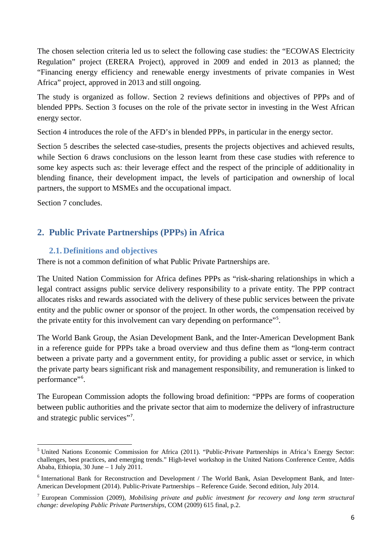The chosen selection criteria led us to select the following case studies: the "ECOWAS Electricity Regulation" project (ERERA Project), approved in 2009 and ended in 2013 as planned; the "Financing energy efficiency and renewable energy investments of private companies in West Africa" project, approved in 2013 and still ongoing.

The study is organized as follow. Section 2 reviews definitions and objectives of PPPs and of blended PPPs. Section 3 focuses on the role of the private sector in investing in the West African energy sector.

Section 4 introduces the role of the AFD's in blended PPPs, in particular in the energy sector.

Section 5 describes the selected case-studies, presents the projects objectives and achieved results, while Section 6 draws conclusions on the lesson learnt from these case studies with reference to some key aspects such as: their leverage effect and the respect of the principle of additionality in blending finance, their development impact, the levels of participation and ownership of local partners, the support to MSMEs and the occupational impact.

Section 7 concludes.

# <span id="page-5-0"></span>**2. Public Private Partnerships (PPPs) in Africa**

## <span id="page-5-1"></span>**2.1. Definitions and objectives**

There is not a common definition of what Public Private Partnerships are.

The United Nation Commission for Africa defines PPPs as "risk-sharing relationships in which a legal contract assigns public service delivery responsibility to a private entity. The PPP contract allocates risks and rewards associated with the delivery of these public services between the private entity and the public owner or sponsor of the project. In other words, the compensation received by the private entity for this involvement can vary depending on performance"<sup>[5](#page-5-2)</sup>.

The World Bank Group, the Asian Development Bank, and the Inter-American Development Bank in a reference guide for PPPs take a broad overview and thus define them as "long-term contract between a private party and a government entity, for providing a public asset or service, in which the private party bears significant risk and management responsibility, and remuneration is linked to performance"<sup>[6](#page-5-3)</sup>.

The European Commission adopts the following broad definition: "PPPs are forms of cooperation between public authorities and the private sector that aim to modernize the delivery of infrastructure and strategic public services"[7](#page-5-4) .

<span id="page-5-2"></span><sup>5</sup> United Nations Economic Commission for Africa (2011). "Public-Private Partnerships in Africa's Energy Sector: challenges, best practices, and emerging trends." High-level workshop in the United Nations Conference Centre, Addis Ababa, Ethiopia, 30 June – 1 July 2011.

<span id="page-5-3"></span><sup>6</sup> International Bank for Reconstruction and Development / The World Bank, Asian Development Bank, and Inter-American Development (2014). Public-Private Partnerships – Reference Guide. Second edition, July 2014.

<span id="page-5-4"></span><sup>7</sup> European Commission (2009), *Mobilising private and public investment for recovery and long term structural change: developing Public Private Partnerships*, COM (2009) 615 final, p.2.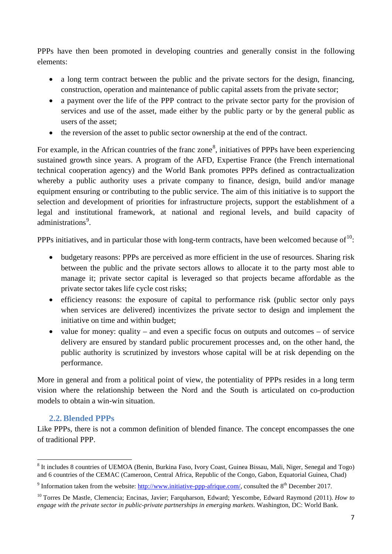PPPs have then been promoted in developing countries and generally consist in the following elements:

- a long term contract between the public and the private sectors for the design, financing, construction, operation and maintenance of public capital assets from the private sector;
- a payment over the life of the PPP contract to the private sector party for the provision of services and use of the asset, made either by the public party or by the general public as users of the asset;
- the reversion of the asset to public sector ownership at the end of the contract.

For example, in the African countries of the franc zone<sup>[8](#page-6-1)</sup>, initiatives of PPPs have been experiencing sustained growth since years. A program of the AFD, Expertise France (the French international technical cooperation agency) and the World Bank promotes PPPs defined as contractualization whereby a public authority uses a private company to finance, design, build and/or manage equipment ensuring or contributing to the public service. The aim of this initiative is to support the selection and development of priorities for infrastructure projects, support the establishment of a legal and institutional framework, at national and regional levels, and build capacity of administrations<sup>[9](#page-6-2)</sup>.

PPPs initiatives, and in particular those with long-term contracts, have been welcomed because of  $10$ :

- budgetary reasons: PPPs are perceived as more efficient in the use of resources. Sharing risk between the public and the private sectors allows to allocate it to the party most able to manage it; private sector capital is leveraged so that projects became affordable as the private sector takes life cycle cost risks;
- efficiency reasons: the exposure of capital to performance risk (public sector only pays when services are delivered) incentivizes the private sector to design and implement the initiative on time and within budget;
- value for money: quality and even a specific focus on outputs and outcomes of service delivery are ensured by standard public procurement processes and, on the other hand, the public authority is scrutinized by investors whose capital will be at risk depending on the performance.

More in general and from a political point of view, the potentiality of PPPs resides in a long term vision where the relationship between the Nord and the South is articulated on co-production models to obtain a win-win situation.

# **2.2.Blended PPPs**

<span id="page-6-0"></span>Like PPPs, there is not a common definition of blended finance. The concept encompasses the one of traditional PPP.

<span id="page-6-1"></span><sup>&</sup>lt;sup>8</sup> It includes 8 countries of UEMOA (Benin, Burkina Faso, Ivory Coast, Guinea Bissau, Mali, Niger, Senegal and Togo) and 6 countries of the CEMAC (Cameroon, Central Africa, Republic of the Congo, Gabon, Equatorial Guinea, Chad)

<span id="page-6-2"></span><sup>&</sup>lt;sup>9</sup> Information taken from the website: [http://www.initiative-ppp-afrique.com/,](http://www.initiative-ppp-afrique.com/) consulted the  $8<sup>th</sup>$  December 2017.

<span id="page-6-3"></span><sup>10</sup> Torres De Mastle, Clemencia; Encinas, Javier; Farquharson, Edward; Yescombe, Edward Raymond (2011). *How to engage with the private sector in public-private partnerships in emerging markets*. Washington, DC: World Bank.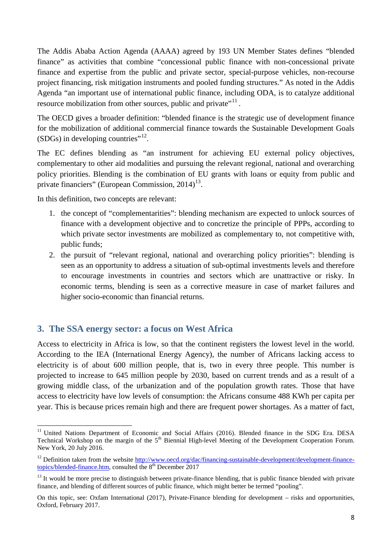The Addis Ababa Action Agenda (AAAA) agreed by 193 UN Member States defines "blended finance" as activities that combine "concessional public finance with non-concessional private finance and expertise from the public and private sector, special-purpose vehicles, non-recourse project financing, risk mitigation instruments and pooled funding structures." As noted in the Addis Agenda "an important use of international public finance, including ODA, is to catalyze additional resource mobilization from other sources, public and private"<sup>[11](#page-7-1)</sup>.

The OECD gives a broader definition: "blended finance is the strategic use of development finance for the mobilization of additional commercial finance towards the Sustainable Development Goals  $(SDGs)$  in developing countries"<sup>12</sup>.

The EC defines blending as "an instrument for achieving EU external policy objectives, complementary to other aid modalities and pursuing the relevant regional, national and overarching policy priorities. Blending is the combination of EU grants with loans or equity from public and private financiers" (European Commission,  $2014$ )<sup>13</sup>.

In this definition, two concepts are relevant:

- 1. the concept of "complementarities": blending mechanism are expected to unlock sources of finance with a development objective and to concretize the principle of PPPs, according to which private sector investments are mobilized as complementary to, not competitive with, public funds;
- 2. the pursuit of "relevant regional, national and overarching policy priorities": blending is seen as an opportunity to address a situation of sub-optimal investments levels and therefore to encourage investments in countries and sectors which are unattractive or risky. In economic terms, blending is seen as a corrective measure in case of market failures and higher socio-economic than financial returns.

#### <span id="page-7-0"></span>**3. The SSA energy sector: a focus on West Africa**

Access to electricity in Africa is low, so that the continent registers the lowest level in the world. According to the IEA (International Energy Agency), the number of Africans lacking access to electricity is of about 600 million people, that is, two in every three people. This number is projected to increase to 645 million people by 2030, based on current trends and as a result of a growing middle class, of the urbanization and of the population growth rates. Those that have access to electricity have low levels of consumption: the Africans consume 488 KWh per capita per year. This is because prices remain high and there are frequent power shortages. As a matter of fact,

<span id="page-7-1"></span><sup>&</sup>lt;sup>11</sup> United Nations Department of Economic and Social Affairs (2016). Blended finance in the SDG Era. DESA Technical Workshop on the margin of the 5<sup>th</sup> Biennial High-level Meeting of the Development Cooperation Forum. New York, 20 July 2016.

<span id="page-7-2"></span><sup>&</sup>lt;sup>12</sup> Definition taken from the website [http://www.oecd.org/dac/financing-sustainable-development/development-finance](http://www.oecd.org/dac/financing-sustainable-development/development-finance-topics/blended-finance.htm)[topics/blended-finance.htm,](http://www.oecd.org/dac/financing-sustainable-development/development-finance-topics/blended-finance.htm) consulted the  $8<sup>th</sup>$  December 2017

<span id="page-7-3"></span><sup>&</sup>lt;sup>13</sup> It would be more precise to distinguish between private-finance blending, that is public finance blended with private finance, and blending of different sources of public finance, which might better be termed "pooling".

On this topic, see: Oxfam International (2017), Private-Finance blending for development – risks and opportunities, Oxford, February 2017.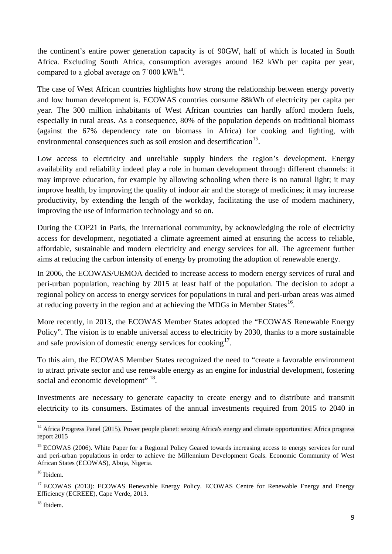the continent's entire power generation capacity is of 90GW, half of which is located in South Africa. Excluding South Africa, consumption averages around 162 kWh per capita per year, compared to a global average on  $7$  000 kWh<sup>[14](#page-8-0)</sup>.

The case of West African countries highlights how strong the relationship between energy poverty and low human development is. ECOWAS countries consume 88kWh of electricity per capita per year. The 300 million inhabitants of West African countries can hardly afford modern fuels, especially in rural areas. As a consequence, 80% of the population depends on traditional biomass (against the 67% dependency rate on biomass in Africa) for cooking and lighting, with environmental consequences such as soil erosion and desertification<sup>[15](#page-8-1)</sup>.

Low access to electricity and unreliable supply hinders the region's development. Energy availability and reliability indeed play a role in human development through different channels: it may improve education, for example by allowing schooling when there is no natural light; it may improve health, by improving the quality of indoor air and the storage of medicines; it may increase productivity, by extending the length of the workday, facilitating the use of modern machinery, improving the use of information technology and so on.

During the COP21 in Paris, the international community, by acknowledging the role of electricity access for development, negotiated a climate agreement aimed at ensuring the access to reliable, affordable, sustainable and modern electricity and energy services for all. The agreement further aims at reducing the carbon intensity of energy by promoting the adoption of renewable energy.

In 2006, the ECOWAS/UEMOA decided to increase access to modern energy services of rural and peri-urban population, reaching by 2015 at least half of the population. The decision to adopt a regional policy on access to energy services for populations in rural and peri-urban areas was aimed at reducing poverty in the region and at achieving the MDGs in Member States $^{16}$ .

More recently, in 2013, the ECOWAS Member States adopted the "ECOWAS Renewable Energy Policy". The vision is to enable universal access to electricity by 2030, thanks to a more sustainable and safe provision of domestic energy services for cooking<sup>17</sup>.

To this aim, the ECOWAS Member States recognized the need to "create a favorable environment to attract private sector and use renewable energy as an engine for industrial development, fostering social and economic development" <sup>18</sup>.

Investments are necessary to generate capacity to create energy and to distribute and transmit electricity to its consumers. Estimates of the annual investments required from 2015 to 2040 in

<span id="page-8-0"></span><sup>&</sup>lt;sup>14</sup> Africa Progress Panel (2015). Power people planet: seizing Africa's energy and climate opportunities: Africa progress report 2015

<span id="page-8-1"></span><sup>&</sup>lt;sup>15</sup> ECOWAS (2006). White Paper for a Regional Policy Geared towards increasing access to energy services for rural and peri-urban populations in order to achieve the Millennium Development Goals. Economic Community of West African States (ECOWAS), Abuja, Nigeria.

<span id="page-8-2"></span><sup>&</sup>lt;sup>16</sup> Ibidem.

<span id="page-8-3"></span><sup>&</sup>lt;sup>17</sup> ECOWAS (2013): ECOWAS Renewable Energy Policy. ECOWAS Centre for Renewable Energy and Energy Efficiency (ECREEE), Cape Verde, 2013.

<span id="page-8-4"></span><sup>&</sup>lt;sup>18</sup> Ibidem.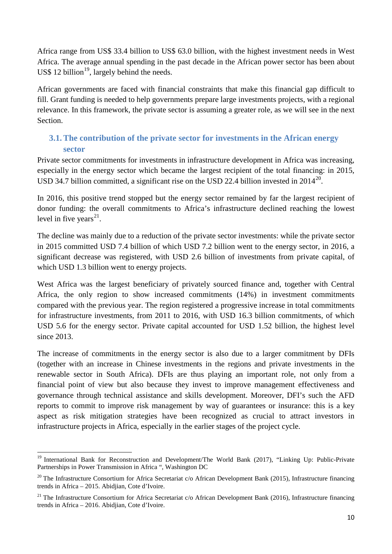Africa range from US\$ 33.4 billion to US\$ 63.0 billion, with the highest investment needs in West Africa. The average annual spending in the past decade in the African power sector has been about US\$ 12 billion<sup>19</sup>, largely behind the needs.

African governments are faced with financial constraints that make this financial gap difficult to fill. Grant funding is needed to help governments prepare large investments projects, with a regional relevance. In this framework, the private sector is assuming a greater role, as we will see in the next **Section** 

# <span id="page-9-0"></span>**3.1.The contribution of the private sector for investments in the African energy sector**

Private sector commitments for investments in infrastructure development in Africa was increasing, especially in the energy sector which became the largest recipient of the total financing: in 2015, USD 34.7 billion committed, a significant rise on the USD 22.4 billion invested in 2014<sup>20</sup>.

In 2016, this positive trend stopped but the energy sector remained by far the largest recipient of donor funding: the overall commitments to Africa's infrastructure declined reaching the lowest level in five years $^{21}$ .

The decline was mainly due to a reduction of the private sector investments: while the private sector in 2015 committed USD 7.4 billion of which USD 7.2 billion went to the energy sector, in 2016, a significant decrease was registered, with USD 2.6 billion of investments from private capital, of which USD 1.3 billion went to energy projects.

West Africa was the largest beneficiary of privately sourced finance and, together with Central Africa, the only region to show increased commitments (14%) in investment commitments compared with the previous year. The region registered a progressive increase in total commitments for infrastructure investments, from 2011 to 2016, with USD 16.3 billion commitments, of which USD 5.6 for the energy sector. Private capital accounted for USD 1.52 billion, the highest level since 2013

The increase of commitments in the energy sector is also due to a larger commitment by DFIs (together with an increase in Chinese investments in the regions and private investments in the renewable sector in South Africa). DFIs are thus playing an important role, not only from a financial point of view but also because they invest to improve management effectiveness and governance through technical assistance and skills development. Moreover, DFI's such the AFD reports to commit to improve risk management by way of guarantees or insurance: this is a key aspect as risk mitigation strategies have been recognized as crucial to attract investors in infrastructure projects in Africa, especially in the earlier stages of the project cycle.

<span id="page-9-1"></span><sup>&</sup>lt;sup>19</sup> International Bank for Reconstruction and Development/The World Bank (2017), "Linking Up: Public-Private Partnerships in Power Transmission in Africa ", Washington DC

<span id="page-9-2"></span><sup>&</sup>lt;sup>20</sup> The Infrastructure Consortium for Africa Secretariat c/o African Development Bank (2015), Infrastructure financing trends in Africa – 2015. Abidjian, Cote d'Ivoire.

<span id="page-9-3"></span><sup>&</sup>lt;sup>21</sup> The Infrastructure Consortium for Africa Secretariat c/o African Development Bank (2016), Infrastructure financing trends in Africa – 2016. Abidjian, Cote d'Ivoire.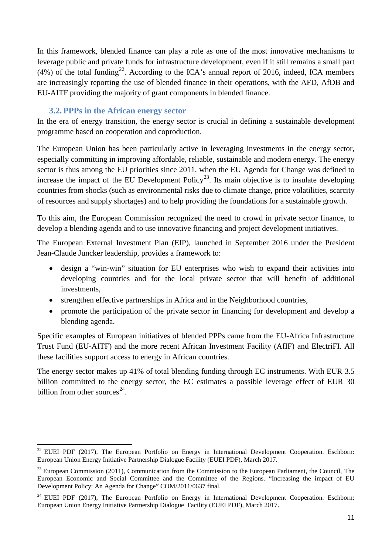In this framework, blended finance can play a role as one of the most innovative mechanisms to leverage public and private funds for infrastructure development, even if it still remains a small part (4%) of the total funding<sup>[22](#page-10-1)</sup>. According to the ICA's annual report of 2016, indeed, ICA members are increasingly reporting the use of blended finance in their operations, with the AFD, AfDB and EU-AITF providing the majority of grant components in blended finance.

## **3.2. PPPs in the African energy sector**

<span id="page-10-0"></span>In the era of energy transition, the energy sector is crucial in defining a sustainable development programme based on cooperation and coproduction.

The European Union has been particularly active in leveraging investments in the energy sector, especially committing in improving affordable, reliable, sustainable and modern energy. The energy sector is thus among the EU priorities since 2011, when the EU Agenda for Change was defined to increase the impact of the EU Development Policy<sup>23</sup>. Its main objective is to insulate developing countries from shocks (such as environmental risks due to climate change, price volatilities, scarcity of resources and supply shortages) and to help providing the foundations for a sustainable growth.

To this aim, the European Commission recognized the need to crowd in private sector finance, to develop a blending agenda and to use innovative financing and project development initiatives.

The European External Investment Plan (EIP), launched in September 2016 under the President Jean-Claude Juncker leadership, provides a framework to:

- design a "win-win" situation for EU enterprises who wish to expand their activities into developing countries and for the local private sector that will benefit of additional investments,
- strengthen effective partnerships in Africa and in the Neighborhood countries,
- promote the participation of the private sector in financing for development and develop a blending agenda.

Specific examples of European initiatives of blended PPPs came from the EU-Africa Infrastructure Trust Fund (EU-AITF) and the more recent African Investment Facility (AfIF) and ElectriFI. All these facilities support access to energy in African countries.

The energy sector makes up 41% of total blending funding through EC instruments. With EUR 3.5 billion committed to the energy sector, the EC estimates a possible leverage effect of EUR 30 billion from other sources $^{24}$ .

<span id="page-10-1"></span><sup>&</sup>lt;sup>22</sup> EUEI PDF (2017), The European Portfolio on Energy in International Development Cooperation. Eschborn: European Union Energy Initiative Partnership Dialogue Facility (EUEI PDF), March 2017.

<span id="page-10-2"></span> $^{23}$  European Commission (2011), Communication from the Commission to the European Parliament, the Council, The European Economic and Social Committee and the Committee of the Regions. ["Increasing the impact of EU](http://www.europarl.europa.eu/RegData/docs_autres_institutions/commission_europeenne/com/2011/0637/COM_COM%282011%290637_EN.pdf)  [Development Policy: An Agenda for Change"](http://www.europarl.europa.eu/RegData/docs_autres_institutions/commission_europeenne/com/2011/0637/COM_COM%282011%290637_EN.pdf) COM/2011/0637 final.

<span id="page-10-3"></span><sup>&</sup>lt;sup>24</sup> EUEI PDF (2017), The European Portfolio on Energy in International Development Cooperation. Eschborn: European Union Energy Initiative Partnership Dialogue Facility (EUEI PDF), March 2017.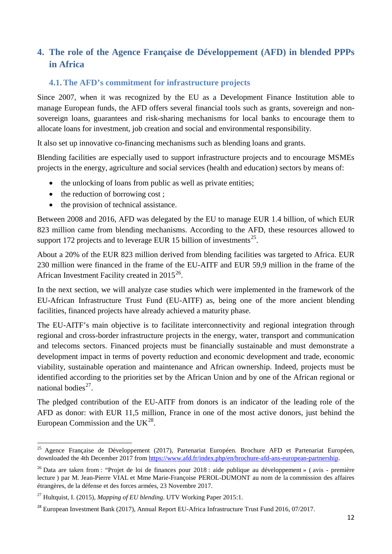# <span id="page-11-0"></span>**4. The role of the Agence Française de Développement (AFD) in blended PPPs in Africa**

#### <span id="page-11-1"></span>**4.1.The AFD's commitment for infrastructure projects**

Since 2007, when it was recognized by the EU as a Development Finance Institution able to manage European funds, the AFD offers several financial tools such as grants, sovereign and nonsovereign loans, guarantees and risk-sharing mechanisms for local banks to encourage them to allocate loans for investment, job creation and social and environmental responsibility.

It also set up innovative co-financing mechanisms such as blending loans and grants.

Blending facilities are especially used to support infrastructure projects and to encourage MSMEs projects in the energy, agriculture and social services (health and education) sectors by means of:

- the unlocking of loans from public as well as private entities;
- the reduction of borrowing cost :
- the provision of technical assistance.

Between 2008 and 2016, AFD was delegated by the EU to manage EUR 1.4 billion, of which EUR 823 million came from blending mechanisms. According to the AFD, these resources allowed to support 172 projects and to leverage EUR 15 billion of investments $^{25}$  $^{25}$  $^{25}$ .

About a 20% of the EUR 823 million derived from blending facilities was targeted to Africa. EUR 230 million were financed in the frame of the EU-AITF and EUR 59,9 million in the frame of the African Investment Facility created in  $2015^{26}$ .

In the next section, we will analyze case studies which were implemented in the framework of the EU-African Infrastructure Trust Fund (EU-AITF) as, being one of the more ancient blending facilities, financed projects have already achieved a maturity phase.

The EU-AITF's main objective is to facilitate interconnectivity and regional integration through regional and cross-border infrastructure projects in the energy, water, transport and communication and telecoms sectors. Financed projects must be financially sustainable and must demonstrate a development impact in terms of poverty reduction and economic development and trade, economic viability, sustainable operation and maintenance and African ownership. Indeed, projects must be identified according to the priorities set by the African Union and by one of the African regional or national bodies $^{27}$  $^{27}$  $^{27}$ .

The pledged contribution of the EU-AITF from donors is an indicator of the leading role of the AFD as donor: with EUR 11,5 million, France in one of the most active donors, just behind the European Commission and the  $UK^{28}$  $UK^{28}$  $UK^{28}$ .

<span id="page-11-2"></span><sup>&</sup>lt;sup>25</sup> Agence Française de Développement (2017), Partenariat Européen. Brochure AFD et Partenariat Européen, downloaded the 4th December 2017 from [https://www.afd.fr/index.php/en/brochure-afd-ans-european-partnership.](https://www.afd.fr/index.php/en/brochure-afd-ans-european-partnership)

<span id="page-11-3"></span> $^{26}$  Data are taken from : "Projet de loi de finances pour 2018 : aide publique au développement » (avis - première lecture ) par M. [Jean-Pierre VIAL](http://www.senat.fr/senateur/vial_jean_pierre95067q.html) et Mme [Marie-Françoise PEROL-DUMONT](http://www.senat.fr/senateur/perol_dumont_marie_francoise14028w.html) au nom de la [commission des affaires](http://www.senat.fr/commission/etr/index.html)  [étrangères, de la défense et des forces armées,](http://www.senat.fr/commission/etr/index.html) 23 Novembre 2017.

<span id="page-11-4"></span><sup>27</sup> Hultquist, I. (2015), *Mapping of EU blending*. UTV Working Paper 2015:1.

<span id="page-11-5"></span><sup>&</sup>lt;sup>28</sup> European Investment Bank (2017), Annual Report EU-Africa Infrastructure Trust Fund 2016, 07/2017.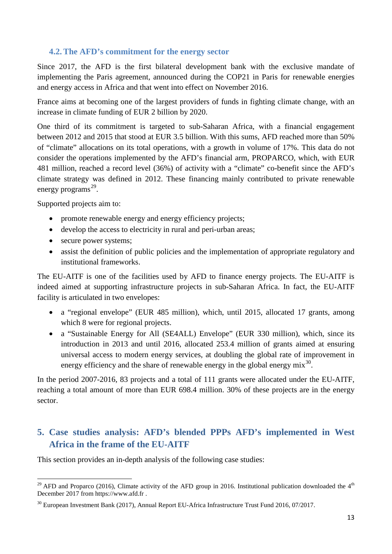## <span id="page-12-0"></span>**4.2.The AFD's commitment for the energy sector**

Since 2017, the AFD is the first bilateral development bank with the exclusive mandate of implementing the Paris agreement, announced during the COP21 in Paris for renewable energies and energy access in Africa and that went into effect on November 2016.

France aims at becoming one of the largest providers of funds in fighting climate change, with an increase in climate funding of EUR 2 billion by 2020.

One third of its commitment is targeted to sub-Saharan Africa, with a financial engagement between 2012 and 2015 that stood at EUR 3.5 billion. With this sums, AFD reached more than 50% of "climate" allocations on its total operations, with a growth in volume of 17%. This data do not consider the operations implemented by the AFD's financial arm, PROPARCO, which, with EUR 481 million, reached a record level (36%) of activity with a "climate" co-benefit since the AFD's climate strategy was defined in 2012. These financing mainly contributed to private renewable energy programs $^{29}$  $^{29}$  $^{29}$ .

Supported projects aim to:

- promote renewable energy and energy efficiency projects;
- develop the access to electricity in rural and peri-urban areas;
- secure power systems;
- assist the definition of public policies and the implementation of appropriate regulatory and institutional frameworks.

The EU-AITF is one of the facilities used by AFD to finance energy projects. The EU-AITF is indeed aimed at supporting infrastructure projects in sub-Saharan Africa. In fact, the EU-AITF facility is articulated in two envelopes:

- a "regional envelope" (EUR 485 million), which, until 2015, allocated 17 grants, among which 8 were for regional projects.
- a "Sustainable Energy for All (SE4ALL) Envelope" (EUR 330 million), which, since its introduction in 2013 and until 2016, allocated 253.4 million of grants aimed at ensuring universal access to modern energy services, at doubling the global rate of improvement in energy efficiency and the share of renewable energy in the global energy  $mix^{30}$  $mix^{30}$  $mix^{30}$ .

In the period 2007-2016, 83 projects and a total of 111 grants were allocated under the EU-AITF, reaching a total amount of more than EUR 698.4 million. 30% of these projects are in the energy sector.

# <span id="page-12-1"></span>**5. Case studies analysis: AFD's blended PPPs AFD's implemented in West Africa in the frame of the EU-AITF**

This section provides an in-depth analysis of the following case studies:

<span id="page-12-2"></span><sup>&</sup>lt;sup>29</sup> AFD and Proparco (2016), Climate activity of the AFD group in 2016. Institutional publication downloaded the  $4<sup>th</sup>$ December 2017 from https://www.afd.fr .

<span id="page-12-3"></span><sup>30</sup> European Investment Bank (2017), Annual Report EU-Africa Infrastructure Trust Fund 2016, 07/2017.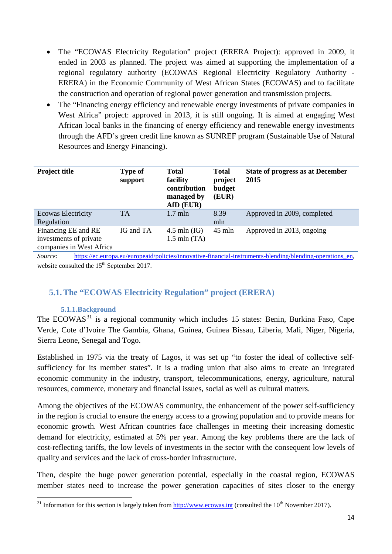- The "ECOWAS Electricity Regulation" project (ERERA Project): approved in 2009, it ended in 2003 as planned. The project was aimed at supporting the implementation of a regional regulatory authority (ECOWAS Regional Electricity Regulatory Authority - ERERA) in the Economic Community of West African States (ECOWAS) and to facilitate the construction and operation of regional power generation and transmission projects.
- The "Financing energy efficiency and renewable energy investments of private companies in West Africa" project: approved in 2013, it is still ongoing. It is aimed at engaging West African local banks in the financing of energy efficiency and renewable energy investments through the AFD's green credit line known as SUNREF program (Sustainable Use of Natural Resources and Energy Financing).

| <b>Project title</b>                                                      | <b>Type of</b><br>support | Total<br>facility<br>contribution<br>managed by<br>AfD (EUR) | <b>Total</b><br>project<br>budget<br>(EUR) | <b>State of progress as at December</b><br>2015 |
|---------------------------------------------------------------------------|---------------------------|--------------------------------------------------------------|--------------------------------------------|-------------------------------------------------|
| <b>Ecowas Electricity</b><br>Regulation                                   | <b>TA</b>                 | $1.7$ mln                                                    | 8.39<br>mln                                | Approved in 2009, completed                     |
| Financing EE and RE<br>investments of private<br>companies in West Africa | IG and TA                 | $4.5$ mln $(IG)$<br>$1.5$ mln $(TA)$                         | $45$ mln                                   | Approved in 2013, ongoing                       |

*Source*: https://ec.europa.eu/europeaid/policies/innovative-financial-instruments-blending/blending-operations en, website consulted the  $15<sup>th</sup>$  September 2017.

# <span id="page-13-0"></span>**5.1.The "ECOWAS Electricity Regulation" project (ERERA)**

#### **5.1.1.Background**

<span id="page-13-1"></span>The ECOWAS<sup>[31](#page-13-2)</sup> is a regional community which includes 15 states: Benin, Burkina Faso, Cape Verde, Cote d'Ivoire The Gambia, Ghana, Guinea, Guinea Bissau, Liberia, Mali, Niger, Nigeria, Sierra Leone, Senegal and Togo.

Established in 1975 via the treaty of Lagos, it was set up "to foster the ideal of collective selfsufficiency for its member states". It is a trading union that also aims to create an integrated economic community in the industry, transport, telecommunications, energy, agriculture, natural resources, commerce, monetary and financial issues, social as well as cultural matters.

Among the objectives of the ECOWAS community, the enhancement of the power self-sufficiency in the region is crucial to ensure the energy access to a growing population and to provide means for economic growth. West African countries face challenges in meeting their increasing domestic demand for electricity, estimated at 5% per year. Among the key problems there are the lack of cost-reflecting tariffs, the low levels of investments in the sector with the consequent low levels of quality and services and the lack of cross-border infrastructure.

Then, despite the huge power generation potential, especially in the coastal region, ECOWAS member states need to increase the power generation capacities of sites closer to the energy

<span id="page-13-2"></span><sup>&</sup>lt;sup>31</sup> Information for this section is largely taken from [http://www.ecowas.int](http://www.ecowas.int/) (consulted the 10<sup>th</sup> November 2017).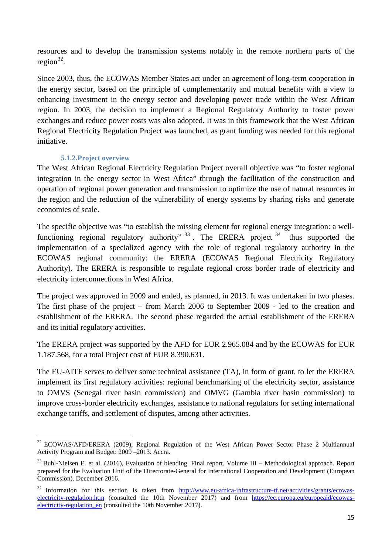resources and to develop the transmission systems notably in the remote northern parts of the region $^{32}$  $^{32}$  $^{32}$ .

Since 2003, thus, the ECOWAS Member States act under an agreement of long-term cooperation in the energy sector, based on the principle of complementarity and mutual benefits with a view to enhancing investment in the energy sector and developing power trade within the West African region. In 2003, the decision to implement a Regional Regulatory Authority to foster power exchanges and reduce power costs was also adopted. It was in this framework that the West African Regional Electricity Regulation Project was launched, as grant funding was needed for this regional initiative.

#### **5.1.2.Project overview**

<span id="page-14-0"></span>The West African Regional Electricity Regulation Project overall objective was "to foster regional integration in the energy sector in West Africa" through the facilitation of the construction and operation of regional power generation and transmission to optimize the use of natural resources in the region and the reduction of the vulnerability of energy systems by sharing risks and generate economies of scale.

The specific objective was "to establish the missing element for regional energy integration: a wellfunctioning regional regulatory authority"  $33$ . The ERERA project  $34$  thus supported the implementation of a specialized agency with the role of regional regulatory authority in the ECOWAS regional community: the ERERA (ECOWAS Regional Electricity Regulatory Authority). The ERERA is responsible to regulate regional cross border trade of electricity and electricity interconnections in West Africa.

The project was approved in 2009 and ended, as planned, in 2013. It was undertaken in two phases. The first phase of the project – from March 2006 to September 2009 - led to the creation and establishment of the ERERA. The second phase regarded the actual establishment of the ERERA and its initial regulatory activities.

The ERERA project was supported by the AFD for EUR 2.965.084 and by the ECOWAS for EUR 1.187.568, for a total Project cost of EUR 8.390.631.

The EU-AITF serves to deliver some technical assistance (TA), in form of grant, to let the ERERA implement its first regulatory activities: regional benchmarking of the electricity sector, assistance to OMVS (Senegal river basin commission) and OMVG (Gambia river basin commission) to improve cross-border electricity exchanges, assistance to national regulators for setting international exchange tariffs, and settlement of disputes, among other activities.

<span id="page-14-1"></span><sup>&</sup>lt;sup>32</sup> ECOWAS/AFD/ERERA (2009), Regional Regulation of the West African Power Sector Phase 2 Multiannual Activity Program and Budget: 2009 –2013. Accra.

<span id="page-14-2"></span> $33$  Buhl-Nielsen E. et al. (2016), Evaluation of blending. Final report. Volume III – Methodological approach. Report prepared for the Evaluation Unit of the Directorate-General for International Cooperation and Development (European Commission). December 2016.

<span id="page-14-3"></span> $34$  Information for this section is taken from [http://www.eu-africa-infrastructure-tf.net/activities/grants/ecowas](http://www.eu-africa-infrastructure-tf.net/activities/grants/ecowas-electricity-regulation.htm)[electricity-regulation.htm](http://www.eu-africa-infrastructure-tf.net/activities/grants/ecowas-electricity-regulation.htm) (consulted the 10th November 2017) and from [https://ec.europa.eu/europeaid/ecowas](https://ec.europa.eu/europeaid/ecowas-electricity-regulation_en)[electricity-regulation\\_en](https://ec.europa.eu/europeaid/ecowas-electricity-regulation_en) (consulted the 10th November 2017).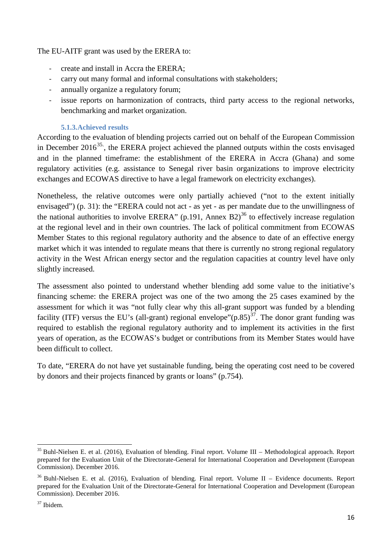The EU-AITF grant was used by the ERERA to:

- create and install in Accra the ERERA;
- carry out many formal and informal consultations with stakeholders;
- annually organize a regulatory forum;
- issue reports on harmonization of contracts, third party access to the regional networks, benchmarking and market organization.

#### **5.1.3.Achieved results**

<span id="page-15-0"></span>According to the evaluation of blending projects carried out on behalf of the European Commission in December  $2016^{35}$ , the ERERA project achieved the planned outputs within the costs envisaged and in the planned timeframe: the establishment of the ERERA in Accra (Ghana) and some regulatory activities (e.g. assistance to Senegal river basin organizations to improve electricity exchanges and ECOWAS directive to have a legal framework on electricity exchanges).

Nonetheless, the relative outcomes were only partially achieved ("not to the extent initially envisaged") (p. 31): the "ERERA could not act - as yet - as per mandate due to the unwillingness of the national authorities to involve ERERA" (p.191, Annex B2)<sup>[36](#page-15-2)</sup> to effectively increase regulation at the regional level and in their own countries. The lack of political commitment from ECOWAS Member States to this regional regulatory authority and the absence to date of an effective energy market which it was intended to regulate means that there is currently no strong regional regulatory activity in the West African energy sector and the regulation capacities at country level have only slightly increased.

The assessment also pointed to understand whether blending add some value to the initiative's financing scheme: the ERERA project was one of the two among the 25 cases examined by the assessment for which it was "not fully clear why this all-grant support was funded by a blending facility (ITF) versus the EU's (all-grant) regional envelope" $(p.85)^{37}$ . The donor grant funding was required to establish the regional regulatory authority and to implement its activities in the first years of operation, as the ECOWAS's budget or contributions from its Member States would have been difficult to collect.

To date, "ERERA do not have yet sustainable funding, being the operating cost need to be covered by donors and their projects financed by grants or loans" (p.754).

<span id="page-15-1"></span><sup>&</sup>lt;sup>35</sup> Buhl-Nielsen E. et al. (2016), Evaluation of blending. Final report. Volume III – Methodological approach. Report prepared for the Evaluation Unit of the Directorate-General for International Cooperation and Development (European Commission). December 2016.

<span id="page-15-2"></span><sup>&</sup>lt;sup>36</sup> Buhl-Nielsen E. et al. (2016), Evaluation of blending. Final report. Volume II – Evidence documents. Report prepared for the Evaluation Unit of the Directorate-General for International Cooperation and Development (European Commission). December 2016.

<span id="page-15-3"></span><sup>37</sup> Ibidem.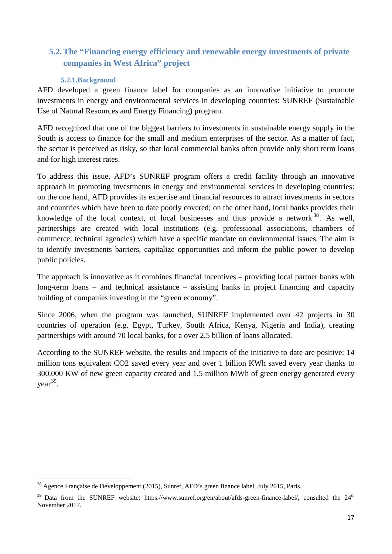# <span id="page-16-0"></span>**5.2.The "Financing energy efficiency and renewable energy investments of private companies in West Africa" project**

#### **5.2.1.Background**

<span id="page-16-1"></span>AFD developed a green finance label for companies as an innovative initiative to promote investments in energy and environmental services in developing countries: SUNREF (Sustainable Use of Natural Resources and Energy Financing) program.

AFD recognized that one of the biggest barriers to investments in sustainable energy supply in the South is access to finance for the small and medium enterprises of the sector. As a matter of fact, the sector is perceived as risky, so that local commercial banks often provide only short term loans and for high interest rates.

To address this issue, AFD's SUNREF program offers a credit facility through an innovative approach in promoting investments in energy and environmental services in developing countries: on the one hand, AFD provides its expertise and financial resources to attract investments in sectors and countries which have been to date poorly covered; on the other hand, local banks provides their knowledge of the local context, of local businesses and thus provide a network <sup>[38](#page-16-2)</sup>. As well, partnerships are created with local institutions (e.g. professional associations, chambers of commerce, technical agencies) which have a specific mandate on environmental issues. The aim is to identify investments barriers, capitalize opportunities and inform the public power to develop public policies.

The approach is innovative as it combines financial incentives – providing local partner banks with long-term loans – and technical assistance – assisting banks in project financing and capacity building of companies investing in the "green economy".

Since 2006, when the program was launched, SUNREF implemented over 42 projects in 30 countries of operation (e.g. Egypt, Turkey, South Africa, Kenya, Nigeria and India), creating partnerships with around 70 local banks, for a over 2,5 billion of loans allocated.

According to the SUNREF website, the results and impacts of the initiative to date are positive: 14 million tons equivalent CO2 saved every year and over 1 billion KWh saved every year thanks to 300.000 KW of new green capacity created and 1,5 million MWh of green energy generated every year<sup>39</sup>.

<span id="page-16-2"></span><sup>38</sup> Agence Française de Développement (2015), Sunref, AFD's green finance label, July 2015, Paris.

<span id="page-16-3"></span> $39$  Data from the SUNREF website: https://www.sunref.org/en/about/afds-green-finance-label/, consulted the  $24<sup>th</sup>$ November 2017.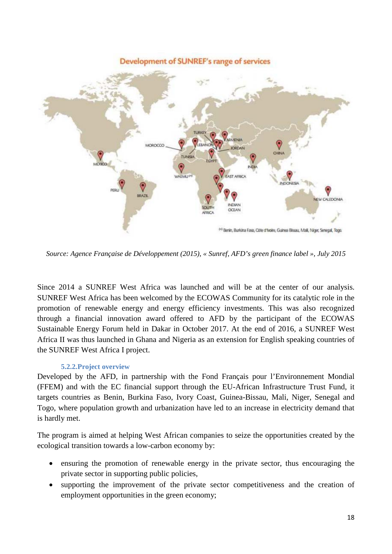

*Source: Agence Française de Développement (2015), « Sunref, AFD's green finance label », July 2015*

Since 2014 a SUNREF West Africa was launched and will be at the center of our analysis. SUNREF West Africa has been welcomed by the ECOWAS Community for its catalytic role in the promotion of renewable energy and energy efficiency investments. This was also recognized through a financial innovation award offered to AFD by the participant of the ECOWAS Sustainable Energy Forum held in Dakar in October 2017. At the end of 2016, a SUNREF West Africa II was thus launched in Ghana and Nigeria as an extension for English speaking countries of the SUNREF West Africa I project.

#### **5.2.2.Project overview**

<span id="page-17-0"></span>Developed by the AFD, in partnership with the Fond Français pour l'Environnement Mondial (FFEM) and with the EC financial support through the EU-African Infrastructure Trust Fund, it targets countries as Benin, Burkina Faso, Ivory Coast, Guinea-Bissau, Mali, Niger, Senegal and Togo, where population growth and urbanization have led to an increase in electricity demand that is hardly met.

The program is aimed at helping West African companies to seize the opportunities created by the ecological transition towards a low-carbon economy by:

- ensuring the promotion of renewable energy in the private sector, thus encouraging the private sector in supporting public policies,
- supporting the improvement of the private sector competitiveness and the creation of employment opportunities in the green economy;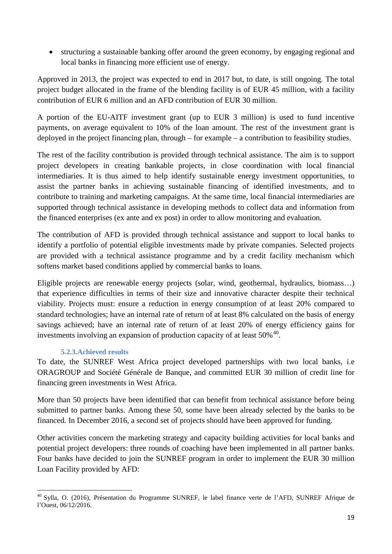• structuring a sustainable banking offer around the green economy, by engaging regional and local banks in financing more efficient use of energy.

Approved in 2013, the project was expected to end in 2017 but, to date, is still ongoing. The total project budget allocated in the frame of the blending facility is of EUR 45 million, with a facility contribution of EUR 6 million and an AFD contribution of EUR 30 million.

A portion of the EU-AITF investment grant (up to EUR 3 million) is used to fund incentive payments, on average equivalent to 10% of the loan amount. The rest of the investment grant is deployed in the project financing plan, through – for example – a contribution to feasibility studies.

The rest of the facility contribution is provided through technical assistance. The aim is to support project developers in creating bankable projects, in close coordination with local financial intermediaries. It is thus aimed to help identify sustainable energy investment opportunities, to assist the partner banks in achieving sustainable financing of identified investments, and to contribute to training and marketing campaigns. At the same time, local financial intermediaries are supported through technical assistance in developing methods to collect data and information from the financed enterprises (ex ante and ex post) in order to allow monitoring and evaluation.

The contribution of AFD is provided through technical assistance and support to local banks to identify a portfolio of potential eligible investments made by private companies. Selected projects are provided with a technical assistance programme and by a credit facility mechanism which softens market based conditions applied by commercial banks to loans.

Eligible projects are renewable energy projects (solar, wind, geothermal, hydraulics, biomass…) that experience difficulties in terms of their size and innovative character despite their technical viability. Projects must: ensure a reduction in energy consumption of at least 20% compared to standard technologies; have an internal rate of return of at least 8% calculated on the basis of energy savings achieved; have an internal rate of return of at least 20% of energy efficiency gains for investments involving an expansion of production capacity of at least  $50\%$ <sup>[40](#page-18-1)</sup>.

## **5.2.3.Achieved results**

<span id="page-18-0"></span>To date, the SUNREF West Africa project developed partnerships with two local banks, i.e ORAGROUP and Société Générale de Banque, and committed EUR 30 million of credit line for financing green investments in West Africa.

More than 50 projects have been identified that can benefit from technical assistance before being submitted to partner banks. Among these 50, some have been already selected by the banks to be financed. In December 2016, a second set of projects should have been approved for funding.

Other activities concern the marketing strategy and capacity building activities for local banks and potential project developers: three rounds of coaching have been implemented in all partner banks. Four banks have decided to join the SUNREF program in order to implement the EUR 30 million Loan Facility provided by AFD:

<span id="page-18-1"></span><sup>&</sup>lt;sup>40</sup> Sylla, O. (2016), Présentation du Programme SUNREF, le label finance verte de l'AFD, SUNREF Afrique de l'Ouest, 06/12/2016.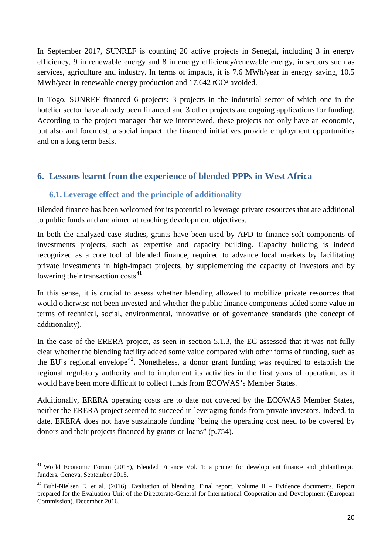In September 2017, SUNREF is counting 20 active projects in Senegal, including 3 in energy efficiency, 9 in renewable energy and 8 in energy efficiency/renewable energy, in sectors such as services, agriculture and industry. In terms of impacts, it is 7.6 MWh/year in energy saving, 10.5 MWh/year in renewable energy production and 17.642 tCO² avoided.

In Togo, SUNREF financed 6 projects: 3 projects in the industrial sector of which one in the hotelier sector have already been financed and 3 other projects are ongoing applications for funding. According to the project manager that we interviewed, these projects not only have an economic, but also and foremost, a social impact: the financed initiatives provide employment opportunities and on a long term basis.

# <span id="page-19-0"></span>**6. Lessons learnt from the experience of blended PPPs in West Africa**

## <span id="page-19-1"></span>**6.1.Leverage effect and the principle of additionality**

Blended finance has been welcomed for its potential to leverage private resources that are additional to public funds and are aimed at reaching development objectives.

In both the analyzed case studies, grants have been used by AFD to finance soft components of investments projects, such as expertise and capacity building. Capacity building is indeed recognized as a core tool of blended finance, required to advance local markets by facilitating private investments in high-impact projects, by supplementing the capacity of investors and by lowering their transaction  $costs<sup>41</sup>$ .

In this sense, it is crucial to assess whether blending allowed to mobilize private resources that would otherwise not been invested and whether the public finance components added some value in terms of technical, social, environmental, innovative or of governance standards (the concept of additionality).

In the case of the ERERA project, as seen in section 5.1.3, the EC assessed that it was not fully clear whether the blending facility added some value compared with other forms of funding, such as the EU's regional envelope<sup>[42](#page-19-3)</sup>. Nonetheless, a donor grant funding was required to establish the regional regulatory authority and to implement its activities in the first years of operation, as it would have been more difficult to collect funds from ECOWAS's Member States.

Additionally, ERERA operating costs are to date not covered by the ECOWAS Member States, neither the ERERA project seemed to succeed in leveraging funds from private investors. Indeed, to date, ERERA does not have sustainable funding "being the operating cost need to be covered by donors and their projects financed by grants or loans" (p.754).

<span id="page-19-2"></span><sup>&</sup>lt;sup>41</sup> World Economic Forum (2015), Blended Finance Vol. 1: a primer for development finance and philanthropic funders. Geneva, September 2015.

<span id="page-19-3"></span><sup>&</sup>lt;sup>42</sup> Buhl-Nielsen E. et al. (2016), Evaluation of blending. Final report. Volume II – Evidence documents. Report prepared for the Evaluation Unit of the Directorate-General for International Cooperation and Development (European Commission). December 2016.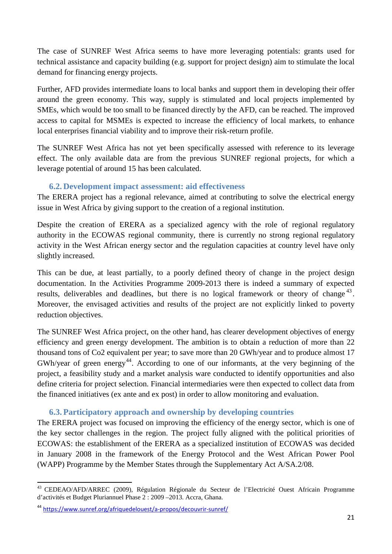The case of SUNREF West Africa seems to have more leveraging potentials: grants used for technical assistance and capacity building (e.g. support for project design) aim to stimulate the local demand for financing energy projects.

Further, AFD provides intermediate loans to local banks and support them in developing their offer around the green economy. This way, supply is stimulated and local projects implemented by SMEs, which would be too small to be financed directly by the AFD, can be reached. The improved access to capital for MSMEs is expected to increase the efficiency of local markets, to enhance local enterprises financial viability and to improve their risk-return profile.

The SUNREF West Africa has not yet been specifically assessed with reference to its leverage effect. The only available data are from the previous SUNREF regional projects, for which a leverage potential of around 15 has been calculated.

#### **6.2. Development impact assessment: aid effectiveness**

<span id="page-20-0"></span>The ERERA project has a regional relevance, aimed at contributing to solve the electrical energy issue in West Africa by giving support to the creation of a regional institution.

Despite the creation of ERERA as a specialized agency with the role of regional regulatory authority in the ECOWAS regional community, there is currently no strong regional regulatory activity in the West African energy sector and the regulation capacities at country level have only slightly increased.

This can be due, at least partially, to a poorly defined theory of change in the project design documentation. In the Activities Programme 2009-2013 there is indeed a summary of expected results, deliverables and deadlines, but there is no logical framework or theory of change  $43$ . Moreover, the envisaged activities and results of the project are not explicitly linked to poverty reduction objectives.

The SUNREF West Africa project, on the other hand, has clearer development objectives of energy efficiency and green energy development. The ambition is to obtain a reduction of more than 22 thousand tons of Co2 equivalent per year; to save more than 20 GWh/year and to produce almost 17 GWh/year of green energy<sup>[44](#page-20-3)</sup>. According to one of our informants, at the very beginning of the project, a feasibility study and a market analysis ware conducted to identify opportunities and also define criteria for project selection. Financial intermediaries were then expected to collect data from the financed initiatives (ex ante and ex post) in order to allow monitoring and evaluation.

## **6.3. Participatory approach and ownership by developing countries**

<span id="page-20-1"></span>The ERERA project was focused on improving the efficiency of the energy sector, which is one of the key sector challenges in the region. The project fully aligned with the political priorities of ECOWAS: the establishment of the ERERA as a specialized institution of ECOWAS was decided in January 2008 in the framework of the Energy Protocol and the West African Power Pool (WAPP) Programme by the Member States through the Supplementary Act A/SA.2/08.

<span id="page-20-2"></span><sup>43</sup> CEDEAO/AFD/ARREC (2009), Régulation Régionale du Secteur de l'Electricité Ouest Africain Programme d'activités et Budget Pluriannuel Phase 2 : 2009 –2013. Accra, Ghana.

<span id="page-20-3"></span><sup>44</sup> <https://www.sunref.org/afriquedelouest/a-propos/decouvrir-sunref/>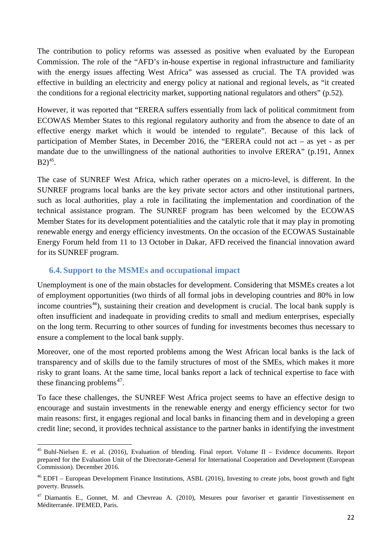The contribution to policy reforms was assessed as positive when evaluated by the European Commission. The role of the "AFD's in-house expertise in regional infrastructure and familiarity with the energy issues affecting West Africa" was assessed as crucial. The TA provided was effective in building an electricity and energy policy at national and regional levels, as "it created the conditions for a regional electricity market, supporting national regulators and others" (p.52).

However, it was reported that "ERERA suffers essentially from lack of political commitment from ECOWAS Member States to this regional regulatory authority and from the absence to date of an effective energy market which it would be intended to regulate". Because of this lack of participation of Member States, in December 2016, the "ERERA could not act – as yet - as per mandate due to the unwillingness of the national authorities to involve ERERA" (p.191, Annex  $B2)^{45}$  $B2)^{45}$  $B2)^{45}$ .

The case of SUNREF West Africa, which rather operates on a micro-level, is different. In the SUNREF programs local banks are the key private sector actors and other institutional partners, such as local authorities, play a role in facilitating the implementation and coordination of the technical assistance program. The SUNREF program has been welcomed by the ECOWAS Member States for its development potentialities and the catalytic role that it may play in promoting renewable energy and energy efficiency investments. On the occasion of the ECOWAS Sustainable Energy Forum held from 11 to 13 October in Dakar, AFD received the financial innovation award for its SUNREF program.

## <span id="page-21-0"></span>**6.4. Support to the MSMEs and occupational impact**

Unemployment is one of the main obstacles for development. Considering that MSMEs creates a lot of employment opportunities (two thirds of all formal jobs in developing countries and 80% in low income countries<sup>[46](#page-21-2)</sup>), sustaining their creation and development is crucial. The local bank supply is often insufficient and inadequate in providing credits to small and medium enterprises, especially on the long term. Recurring to other sources of funding for investments becomes thus necessary to ensure a complement to the local bank supply.

Moreover, one of the most reported problems among the West African local banks is the lack of transparency and of skills due to the family structures of most of the SMEs, which makes it more risky to grant loans. At the same time, local banks report a lack of technical expertise to face with these financing problems<sup> $47$ </sup>.

To face these challenges, the SUNREF West Africa project seems to have an effective design to encourage and sustain investments in the renewable energy and energy efficiency sector for two main reasons: first, it engages regional and local banks in financing them and in developing a green credit line; second, it provides technical assistance to the partner banks in identifying the investment

<span id="page-21-1"></span><sup>45</sup> Buhl-Nielsen E. et al. (2016), Evaluation of blending. Final report. Volume II – Evidence documents. Report prepared for the Evaluation Unit of the Directorate-General for International Cooperation and Development (European Commission). December 2016.

<span id="page-21-2"></span><sup>&</sup>lt;sup>46</sup> EDFI – European Development Finance Institutions, ASBL (2016), Investing to create jobs, boost growth and fight poverty. Brussels.

<span id="page-21-3"></span><sup>&</sup>lt;sup>47</sup> Diamantis E., Gonnet, M. and Chevreau A. (2010), Mesures pour favoriser et garantir l'investissement en Méditerranée. IPEMED, Paris.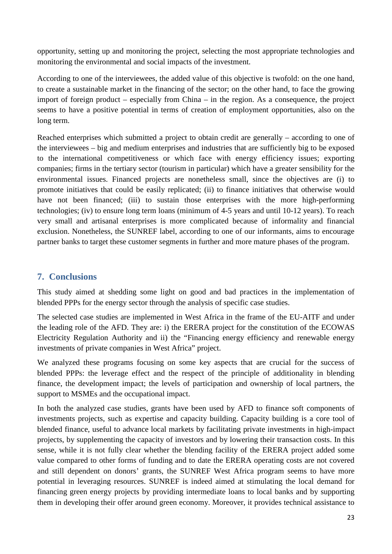opportunity, setting up and monitoring the project, selecting the most appropriate technologies and monitoring the environmental and social impacts of the investment.

According to one of the interviewees, the added value of this objective is twofold: on the one hand, to create a sustainable market in the financing of the sector; on the other hand, to face the growing import of foreign product – especially from China – in the region. As a consequence, the project seems to have a positive potential in terms of creation of employment opportunities, also on the long term.

Reached enterprises which submitted a project to obtain credit are generally – according to one of the interviewees – big and medium enterprises and industries that are sufficiently big to be exposed to the international competitiveness or which face with energy efficiency issues; exporting companies; firms in the tertiary sector (tourism in particular) which have a greater sensibility for the environmental issues. Financed projects are nonetheless small, since the objectives are (i) to promote initiatives that could be easily replicated; (ii) to finance initiatives that otherwise would have not been financed; (iii) to sustain those enterprises with the more high-performing technologies; (iv) to ensure long term loans (minimum of 4-5 years and until 10-12 years). To reach very small and artisanal enterprises is more complicated because of informality and financial exclusion. Nonetheless, the SUNREF label, according to one of our informants, aims to encourage partner banks to target these customer segments in further and more mature phases of the program.

# <span id="page-22-0"></span>**7. Conclusions**

This study aimed at shedding some light on good and bad practices in the implementation of blended PPPs for the energy sector through the analysis of specific case studies.

The selected case studies are implemented in West Africa in the frame of the EU-AITF and under the leading role of the AFD. They are: i) the ERERA project for the constitution of the ECOWAS Electricity Regulation Authority and ii) the "Financing energy efficiency and renewable energy investments of private companies in West Africa" project.

We analyzed these programs focusing on some key aspects that are crucial for the success of blended PPPs: the leverage effect and the respect of the principle of additionality in blending finance, the development impact; the levels of participation and ownership of local partners, the support to MSMEs and the occupational impact.

In both the analyzed case studies, grants have been used by AFD to finance soft components of investments projects, such as expertise and capacity building. Capacity building is a core tool of blended finance, useful to advance local markets by facilitating private investments in high-impact projects, by supplementing the capacity of investors and by lowering their transaction costs. In this sense, while it is not fully clear whether the blending facility of the ERERA project added some value compared to other forms of funding and to date the ERERA operating costs are not covered and still dependent on donors' grants, the SUNREF West Africa program seems to have more potential in leveraging resources. SUNREF is indeed aimed at stimulating the local demand for financing green energy projects by providing intermediate loans to local banks and by supporting them in developing their offer around green economy. Moreover, it provides technical assistance to